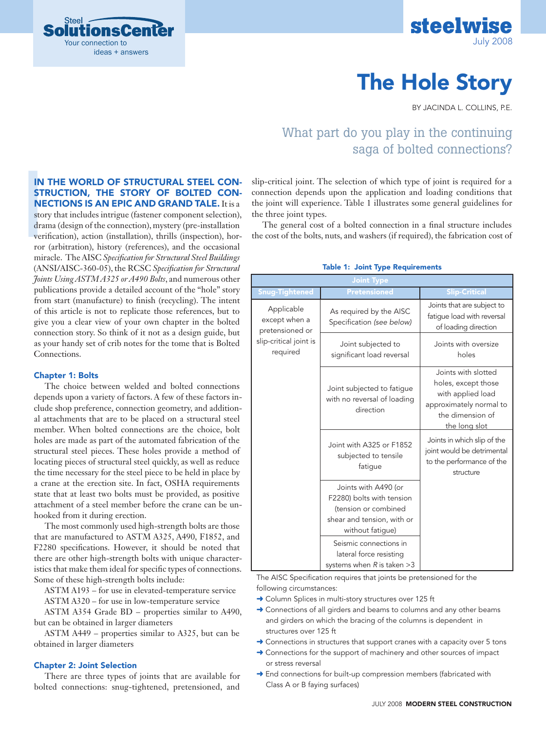



# The Hole Story

BY JACINDA L. COLLINS, P.E.

# What part do you play in the continuing saga of bolted connections?

## In the world of structural steel con-STRUCTION, THE STORY OF BOLTED CONnections is an epic and grand tale. It is a

IN<br>
STI<br>
NE<br>
stor<br>
draa<br>
veri<br>
ror<br>
mir story that includes intrigue (fastener component selection), drama (design of the connection), mystery (pre-installation verification), action (installation), thrills (inspection), horror (arbitration), history (references), and the occasional miracle. The AISC *Specification for Structural Steel Buildings* (ANSI/AISC-360-05), the RCSC *Specification for Structural Joints Using ASTM A325 or A490 Bolts*, and numerous other publications provide a detailed account of the "hole" story from start (manufacture) to finish (recycling). The intent of this article is not to replicate those references, but to give you a clear view of your own chapter in the bolted connection story. So think of it not as a design guide, but as your handy set of crib notes for the tome that is Bolted Connections.

#### Chapter 1: Bolts

The choice between welded and bolted connections depends upon a variety of factors. A few of these factors include shop preference, connection geometry, and additional attachments that are to be placed on a structural steel member. When bolted connections are the choice, bolt holes are made as part of the automated fabrication of the structural steel pieces. These holes provide a method of locating pieces of structural steel quickly, as well as reduce the time necessary for the steel piece to be held in place by a crane at the erection site. In fact, OSHA requirements state that at least two bolts must be provided, as positive attachment of a steel member before the crane can be unhooked from it during erection.

The most commonly used high-strength bolts are those that are manufactured to ASTM A325, A490, F1852, and F2280 specifications. However, it should be noted that there are other high-strength bolts with unique characteristics that make them ideal for specific types of connections. Some of these high-strength bolts include:

ASTM A193 – for use in elevated-temperature service

ASTM A320 – for use in low-temperature service

ASTM A354 Grade BD – properties similar to A490, but can be obtained in larger diameters

ASTM A449 – properties similar to A325, but can be obtained in larger diameters

#### Chapter 2: Joint Selection

There are three types of joints that are available for bolted connections: snug-tightened, pretensioned, and slip-critical joint. The selection of which type of joint is required for a connection depends upon the application and loading conditions that the joint will experience. Table 1 illustrates some general guidelines for the three joint types.

The general cost of a bolted connection in a final structure includes the cost of the bolts, nuts, and washers (if required), the fabrication cost of

| <b>Joint Type</b>                                                                    |                                                                                                                             |                                                                                                                                 |  |  |  |
|--------------------------------------------------------------------------------------|-----------------------------------------------------------------------------------------------------------------------------|---------------------------------------------------------------------------------------------------------------------------------|--|--|--|
| Snug-Tightened                                                                       | <b>Pretensioned</b>                                                                                                         | <b>Slip-Critical</b>                                                                                                            |  |  |  |
| Applicable<br>except when a<br>pretensioned or<br>slip-critical joint is<br>required | As required by the AISC<br>Specification (see below)                                                                        | Joints that are subject to<br>fatique load with reversal<br>of loading direction                                                |  |  |  |
|                                                                                      | Joint subjected to<br>significant load reversal                                                                             | Joints with oversize<br>holes                                                                                                   |  |  |  |
|                                                                                      | Joint subjected to fatique<br>with no reversal of loading<br>direction                                                      | Joints with slotted<br>holes, except those<br>with applied load<br>approximately normal to<br>the dimension of<br>the long slot |  |  |  |
|                                                                                      | Joint with A325 or F1852<br>subjected to tensile<br>fatigue                                                                 | Joints in which slip of the<br>joint would be detrimental<br>to the performance of the<br>structure                             |  |  |  |
|                                                                                      | Joints with A490 (or<br>F2280) bolts with tension<br>(tension or combined<br>shear and tension, with or<br>without fatigue) |                                                                                                                                 |  |  |  |
|                                                                                      | Seismic connections in<br>lateral force resisting<br>systems when $R$ is taken $>3$                                         |                                                                                                                                 |  |  |  |

#### Table 1: Joint Type Requirements

The AISC Specification requires that joints be pretensioned for the following circumstances:

- → Column Splices in multi-story structures over 125 ft
- → Connections of all girders and beams to columns and any other beams and girders on which the bracing of the columns is dependent in structures over 125 ft
- → Connections in structures that support cranes with a capacity over 5 tons
- → Connections for the support of machinery and other sources of impact or stress reversal
- → End connections for built-up compression members (fabricated with Class A or B faying surfaces)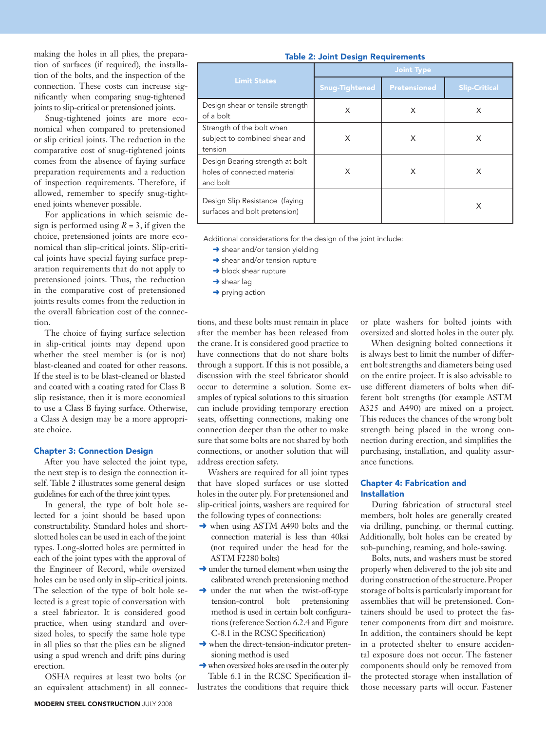making the holes in all plies, the preparation of surfaces (if required), the installation of the bolts, and the inspection of the connection. These costs can increase significantly when comparing snug-tightened joints to slip-critical or pretensioned joints.

Snug-tightened joints are more economical when compared to pretensioned or slip critical joints. The reduction in the comparative cost of snug-tightened joints comes from the absence of faying surface preparation requirements and a reduction of inspection requirements. Therefore, if allowed, remember to specify snug-tightened joints whenever possible.

For applications in which seismic design is performed using  $R = 3$ , if given the choice, pretensioned joints are more economical than slip-critical joints. Slip-critical joints have special faying surface preparation requirements that do not apply to pretensioned joints. Thus, the reduction in the comparative cost of pretensioned joints results comes from the reduction in the overall fabrication cost of the connection.

The choice of faying surface selection in slip-critical joints may depend upon whether the steel member is (or is not) blast-cleaned and coated for other reasons. If the steel is to be blast-cleaned or blasted and coated with a coating rated for Class B slip resistance, then it is more economical to use a Class B faying surface. Otherwise, a Class A design may be a more appropriate choice.

#### Chapter 3: Connection Design

After you have selected the joint type, the next step is to design the connection itself. Table 2 illustrates some general design guidelines for each of the three joint types.

In general, the type of bolt hole selected for a joint should be based upon constructability. Standard holes and shortslotted holes can be used in each of the joint types. Long-slotted holes are permitted in each of the joint types with the approval of the Engineer of Record, while oversized holes can be used only in slip-critical joints. The selection of the type of bolt hole selected is a great topic of conversation with a steel fabricator. It is considered good practice, when using standard and oversized holes, to specify the same hole type in all plies so that the plies can be aligned using a spud wrench and drift pins during erection.

OSHA requires at least two bolts (or an equivalent attachment) in all connec-

|                     | <b>Joint Type</b> |                     |  |  |
|---------------------|-------------------|---------------------|--|--|
| <b>Limit States</b> | Snug-Tightened    | <b>Pretensioned</b> |  |  |

Table 2: Joint Design Requirements

| <b>Limit States</b>                                                        | <b>Snug-Tightened</b> | <b>Pretensioned</b> | Slip-Critical |
|----------------------------------------------------------------------------|-----------------------|---------------------|---------------|
| Design shear or tensile strength<br>of a bolt                              | X                     | X                   | Х             |
| Strength of the bolt when<br>subject to combined shear and<br>tension      | X                     | X                   | X             |
| Design Bearing strength at bolt<br>holes of connected material<br>and bolt | X                     | X                   | X             |
| Design Slip Resistance (faying<br>surfaces and bolt pretension)            |                       |                     | X             |

Additional considerations for the design of the joint include:

- → shear and/or tension yielding
- **→** shear and/or tension rupture
- → block shear rupture
- $\rightarrow$  shear lag
- $\rightarrow$  prying action

tions, and these bolts must remain in place after the member has been released from the crane. It is considered good practice to have connections that do not share bolts through a support. If this is not possible, a discussion with the steel fabricator should occur to determine a solution. Some examples of typical solutions to this situation can include providing temporary erection seats, offsetting connections, making one connection deeper than the other to make sure that some bolts are not shared by both connections, or another solution that will address erection safety.

Washers are required for all joint types that have sloped surfaces or use slotted holes in the outer ply. For pretensioned and slip-critical joints, washers are required for the following types of connections:

- $\rightarrow$  when using ASTM A490 bolts and the connection material is less than 40ksi (not required under the head for the ASTM F2280 bolts)
- $\rightarrow$  under the turned element when using the calibrated wrench pretensioning method
- → under the nut when the twist-off-type tension-control bolt pretensioning method is used in certain bolt configurations (reference Section 6.2.4 and Figure C-8.1 in the RCSC Specification)
- **→** when the direct-tension-indicator pretensioning method is used
- **→** when oversized holes are used in the outer ply Table 6.1 in the RCSC Specification il-

lustrates the conditions that require thick

or plate washers for bolted joints with oversized and slotted holes in the outer ply.

When designing bolted connections it is always best to limit the number of different bolt strengths and diameters being used on the entire project. It is also advisable to use different diameters of bolts when different bolt strengths (for example ASTM A325 and A490) are mixed on a project. This reduces the chances of the wrong bolt strength being placed in the wrong connection during erection, and simplifies the purchasing, installation, and quality assurance functions.

### Chapter 4: Fabrication and Installation

During fabrication of structural steel members, bolt holes are generally created via drilling, punching, or thermal cutting. Additionally, bolt holes can be created by sub-punching, reaming, and hole-sawing.

Bolts, nuts, and washers must be stored properly when delivered to the job site and during construction of the structure. Proper storage of bolts is particularly important for assemblies that will be pretensioned. Containers should be used to protect the fastener components from dirt and moisture. In addition, the containers should be kept in a protected shelter to ensure accidental exposure does not occur. The fastener components should only be removed from the protected storage when installation of those necessary parts will occur. Fastener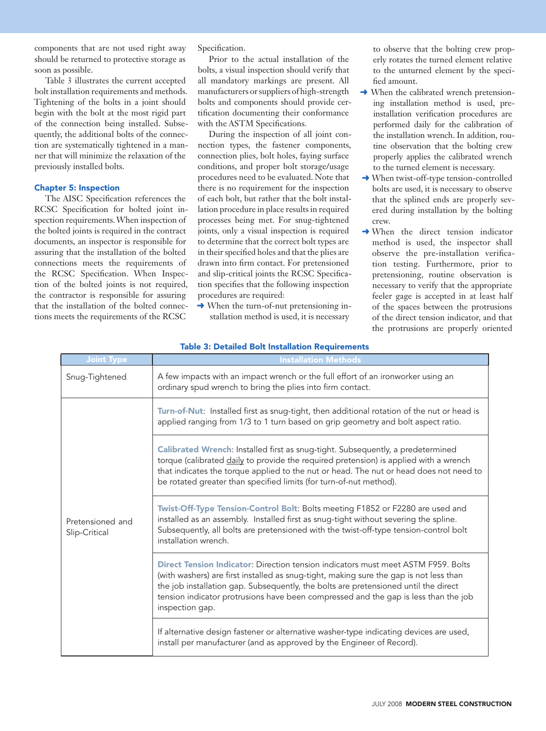components that are not used right away should be returned to protective storage as soon as possible.

Table 3 illustrates the current accepted bolt installation requirements and methods. Tightening of the bolts in a joint should begin with the bolt at the most rigid part of the connection being installed. Subsequently, the additional bolts of the connection are systematically tightened in a manner that will minimize the relaxation of the previously installed bolts.

#### Chapter 5: Inspection

The AISC Specification references the RCSC Specification for bolted joint inspection requirements. When inspection of the bolted joints is required in the contract documents, an inspector is responsible for assuring that the installation of the bolted connections meets the requirements of the RCSC Specification. When Inspection of the bolted joints is not required, the contractor is responsible for assuring that the installation of the bolted connections meets the requirements of the RCSC

Specification.

Prior to the actual installation of the bolts, a visual inspection should verify that all mandatory markings are present. All manufacturers or suppliers of high-strength bolts and components should provide certification documenting their conformance with the ASTM Specifications.

During the inspection of all joint connection types, the fastener components, connection plies, bolt holes, faying surface conditions, and proper bolt storage/usage procedures need to be evaluated. Note that there is no requirement for the inspection of each bolt, but rather that the bolt installation procedure in place results in required processes being met. For snug-tightened joints, only a visual inspection is required to determine that the correct bolt types are in their specified holes and that the plies are drawn into firm contact. For pretensioned and slip-critical joints the RCSC Specification specifies that the following inspection procedures are required:

**→** When the turn-of-nut pretensioning installation method is used, it is necessary

to observe that the bolting crew properly rotates the turned element relative to the unturned element by the specified amount.

- **→ When the calibrated wrench pretension**ing installation method is used, preinstallation verification procedures are performed daily for the calibration of the installation wrench. In addition, routine observation that the bolting crew properly applies the calibrated wrench to the turned element is necessary.
- **→ When twist-off-type tension-controlled** bolts are used, it is necessary to observe that the splined ends are properly severed during installation by the bolting crew.
- **→** When the direct tension indicator method is used, the inspector shall observe the pre-installation verification testing. Furthermore, prior to pretensioning, routine observation is necessary to verify that the appropriate feeler gage is accepted in at least half of the spaces between the protrusions of the direct tension indicator, and that the protrusions are properly oriented

| <b>Joint Type</b>                 | <b>Installation Methods</b>                                                                                                                                                                                                                                                                                                                                                         |
|-----------------------------------|-------------------------------------------------------------------------------------------------------------------------------------------------------------------------------------------------------------------------------------------------------------------------------------------------------------------------------------------------------------------------------------|
| Snug-Tightened                    | A few impacts with an impact wrench or the full effort of an ironworker using an<br>ordinary spud wrench to bring the plies into firm contact.                                                                                                                                                                                                                                      |
| Pretensioned and<br>Slip-Critical | Turn-of-Nut: Installed first as snug-tight, then additional rotation of the nut or head is<br>applied ranging from 1/3 to 1 turn based on grip geometry and bolt aspect ratio.                                                                                                                                                                                                      |
|                                   | Calibrated Wrench: Installed first as snug-tight. Subsequently, a predetermined<br>torque (calibrated daily to provide the required pretension) is applied with a wrench<br>that indicates the torque applied to the nut or head. The nut or head does not need to<br>be rotated greater than specified limits (for turn-of-nut method).                                            |
|                                   | Twist-Off-Type Tension-Control Bolt: Bolts meeting F1852 or F2280 are used and<br>installed as an assembly. Installed first as snug-tight without severing the spline.<br>Subsequently, all bolts are pretensioned with the twist-off-type tension-control bolt<br>installation wrench.                                                                                             |
|                                   | <b>Direct Tension Indicator:</b> Direction tension indicators must meet ASTM F959. Bolts<br>(with washers) are first installed as snug-tight, making sure the gap is not less than<br>the job installation gap. Subsequently, the bolts are pretensioned until the direct<br>tension indicator protrusions have been compressed and the gap is less than the job<br>inspection gap. |
|                                   | If alternative design fastener or alternative washer-type indicating devices are used,<br>install per manufacturer (and as approved by the Engineer of Record).                                                                                                                                                                                                                     |

#### Table 3: Detailed Bolt Installation Requirements